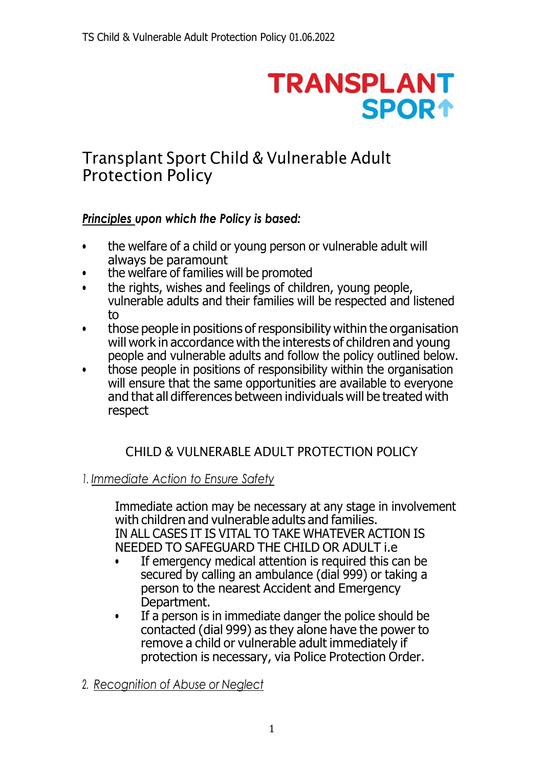# **TRANSPLANT SPOR1**

# Transplant Sport Child & Vulnerable Adult Protection Policy

# *Principles upon which the Policy is based:*

- the welfare of a child or young person or vulnerable adult will always be paramount
- the welfare of families will be promoted
- the rights, wishes and feelings of children, young people, vulnerable adults and their families will be respected and listened to
- those people in positions of responsibility within the organisation will work in accordance with the interests of children and young people and vulnerable adults and follow the policy outlined below.
- those people in positions of responsibility within the organisation will ensure that the same opportunities are available to everyone and that all differences between individuals will be treated with respect

# CHILD & VULNERABLE ADULT PROTECTION POLICY

## *1. Immediate Action to Ensure Safety*

Immediate action may be necessary at any stage in involvement with children and vulnerable adults and families. IN ALL CASES IT IS VITAL TO TAKE WHATEVER ACTION IS NEEDED TO SAFEGUARD THE CHILD OR ADULT i.e

- If emergency medical attention is required this can be secured by calling an ambulance (dial 999) or taking a person to the nearest Accident and Emergency Department.
- If a person is in immediate danger the police should be contacted (dial 999) as they alone have the power to remove a child or vulnerable adult immediately if protection is necessary, via Police Protection Order.
- *2. Recognition of Abuse or Neglect*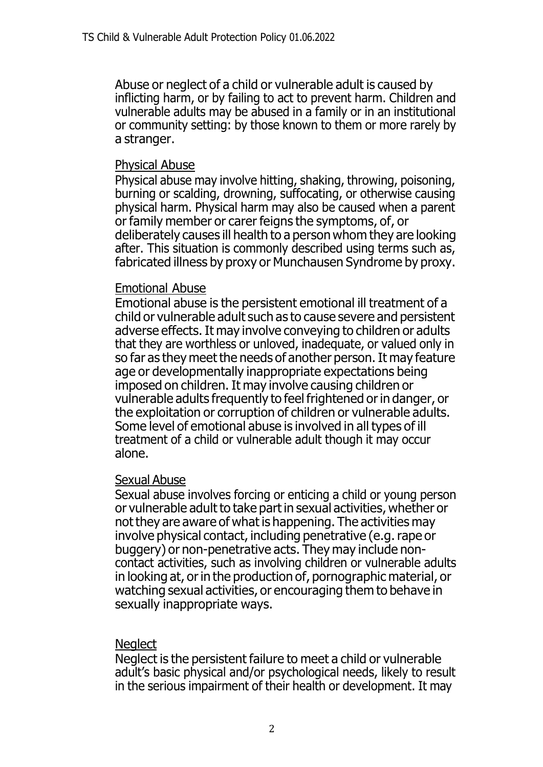Abuse or neglect of a child or vulnerable adult is caused by inflicting harm, or by failing to act to prevent harm. Children and vulnerable adults may be abused in a family or in an institutional or community setting: by those known to them or more rarely by a stranger.

#### Physical Abuse

Physical abuse may involve hitting, shaking, throwing, poisoning, burning or scalding, drowning, suffocating, or otherwise causing physical harm. Physical harm may also be caused when a parent or family member or carer feigns the symptoms, of, or deliberately causes ill health to a person whom they are looking after. This situation is commonly described using terms such as, fabricated illness by proxy or Munchausen Syndrome by proxy.

#### Emotional Abuse

Emotional abuse is the persistent emotional ill treatment of a child or vulnerable adult such as to cause severe and persistent adverse effects.It may involve conveying to children or adults that they are worthless or unloved, inadequate, or valued only in so far as they meet the needs of another person. It may feature age or developmentally inappropriate expectations being imposed on children. It may involve causing children or vulnerable adults frequently to feel frightened orin danger, or the exploitation or corruption of children or vulnerable adults. Some level of emotional abuse is involved in all types of ill treatment of a child or vulnerable adult though it may occur alone.

#### Sexual Abuse

Sexual abuse involves forcing or enticing a child or young person or vulnerable adult to take part in sexual activities, whether or not they are aware of what is happening. The activities may involve physical contact, including penetrative (e.g. rape or buggery) or non-penetrative acts. They may include noncontact activities, such as involving children or vulnerable adults in looking at, or in the production of, pornographic material, or watching sexual activities, or encouraging them to behave in sexually inappropriate ways.

#### **Neglect**

Neglect is the persistent failure to meet a child or vulnerable adult's basic physical and/or psychological needs, likely to result in the serious impairment of their health or development. It may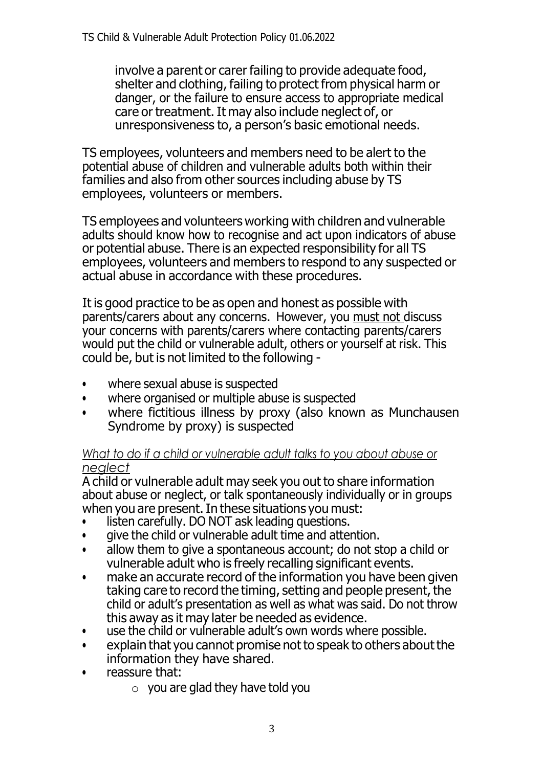involve a parent or carer failing to provide adequate food, shelter and clothing, failing to protect from physical harm or danger, or the failure to ensure access to appropriate medical care or treatment.It may also include neglect of, or unresponsiveness to, a person's basic emotional needs.

TS employees, volunteers and members need to be alert to the potential abuse of children and vulnerable adults both within their families and also from other sources including abuse by TS employees, volunteers or members.

TS employees and volunteers working with children and vulnerable adults should know how to recognise and act upon indicators of abuse or potential abuse. There is an expected responsibility for all TS employees, volunteers and members to respond to any suspected or actual abuse in accordance with these procedures.

It is good practice to be as open and honest as possible with parents/carers about any concerns. However, you must not discuss your concerns with parents/carers where contacting parents/carers would put the child or vulnerable adult, others or yourself at risk. This could be, but is not limited to the following -

- where sexual abuse is suspected
- where organised or multiple abuse is suspected
- where fictitious illness by proxy (also known as Munchausen Syndrome by proxy) is suspected

#### *What to do if a child or vulnerable adult talks to you about abuse or neglect*

A child or vulnerable adult may seek you out to share information about abuse or neglect, or talk spontaneously individually or in groups when you are present. In these situations you must:

- listen carefully. DO NOT ask leading questions.
- give the child or vulnerable adult time and attention.
- allow them to give a spontaneous account; do not stop a child or vulnerable adult who is freely recalling significant events.
- make an accurate record of the information you have been given taking care to record the timing, setting and people present, the child or adult's presentation as well as what was said. Do not throw this away as it may later be needed as evidence.
- use the child or vulnerable adult's own words where possible.
- explain that you cannot promise not to speak to others about the information they have shared.
- reassure that:
	- $\circ$  you are glad they have told you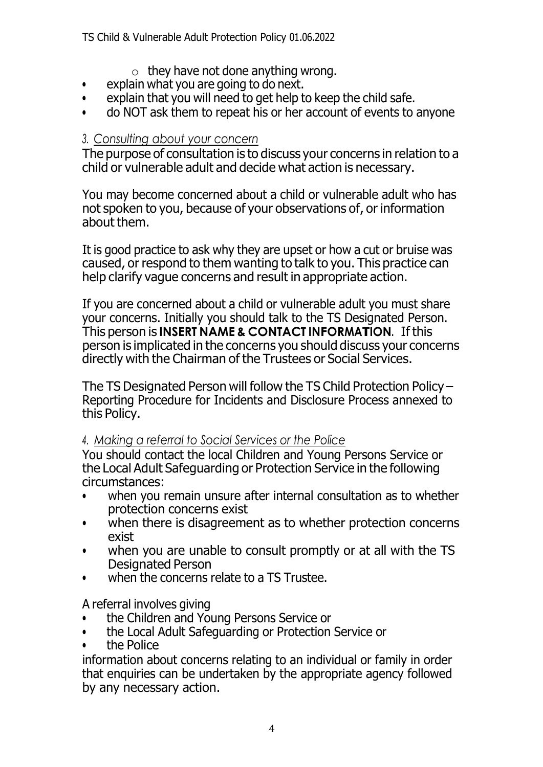- $\circ$  they have not done anything wrong.
- explain what you are going to do next.<br>• explain that you will need to get help t
- explain that you will need to get help to keep the child safe.
- do NOT ask them to repeat his or her account of events to anyone

#### *3. Consulting about your concern*

The purpose of consultation is to discuss your concerns in relation to a child or vulnerable adult and decide what action is necessary.

You may become concerned about a child or vulnerable adult who has not spoken to you, because of your observations of, or information about them.

It is good practice to ask why they are upset or how a cut or bruise was caused, or respond to them wanting to talk to you. This practice can help clarify vague concerns and result in appropriate action.

If you are concerned about a child or vulnerable adult you must share your concerns. Initially you should talk to the TS Designated Person. This person is **INSERT NAME & CONTACT INFORMATION**. If this person is implicated in the concerns you should discuss your concerns directly with the Chairman of the Trustees or Social Services.

The TS Designated Person will follow the TS Child Protection Policy – Reporting Procedure for Incidents and Disclosure Process annexed to this Policy.

#### *4. Making a referral to Social Services or the Police*

You should contact the local Children and Young Persons Service or the Local Adult Safeguarding or Protection Service in the following circumstances:

- when you remain unsure after internal consultation as to whether protection concerns exist
- when there is disagreement as to whether protection concerns exist
- when you are unable to consult promptly or at all with the TS Designated Person
- when the concerns relate to a TS Trustee.

A referral involves giving

- the Children and Young Persons Service or
- the Local Adult Safeguarding or Protection Service or
- the Police

information about concerns relating to an individual or family in order that enquiries can be undertaken by the appropriate agency followed by any necessary action.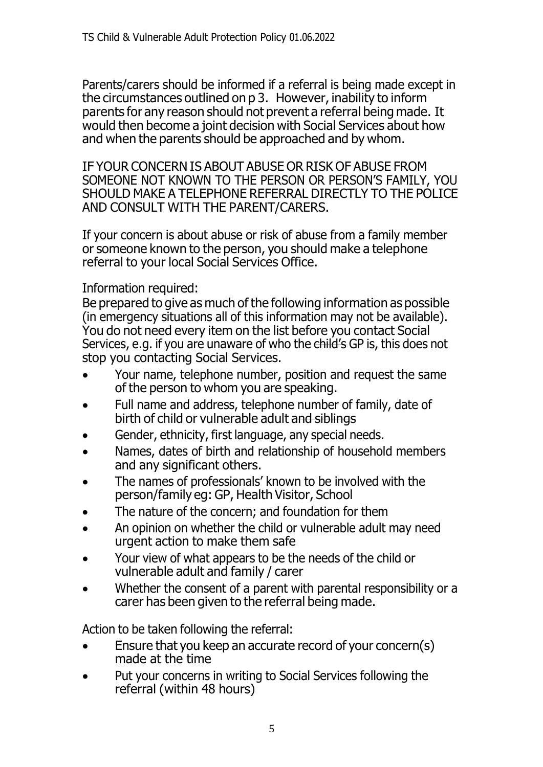Parents/carers should be informed if a referral is being made except in the circumstances outlined on p 3. However, inability to inform parents for any reason should not prevent a referral being made. It would then become a joint decision with Social Services about how and when the parents should be approached and by whom.

IF YOUR CONCERN IS ABOUT ABUSE OR RISK OF ABUSE FROM SOMEONE NOT KNOWN TO THE PERSON OR PERSON'S FAMILY, YOU SHOULD MAKE A TELEPHONE REFERRAL DIRECTLY TO THE POLICE AND CONSULT WITH THE PARENT/CARERS.

If your concern is about abuse or risk of abuse from a family member or someone known to the person, you should make a telephone referral to your local Social Services Office.

#### Information required:

Be prepared to give as much of the following information as possible (in emergency situations all of this information may not be available). You do not need every item on the list before you contact Social Services, e.g. if you are unaware of who the child's GP is, this does not stop you contacting Social Services.

- Your name, telephone number, position and request the same of the person to whom you are speaking.
- Full name and address, telephone number of family, date of birth of child or vulnerable adult and siblings
- Gender, ethnicity, first language, any special needs.
- Names, dates of birth and relationship of household members and any significant others.
- The names of professionals' known to be involved with the person/family eg: GP, Health Visitor, School
- The nature of the concern; and foundation for them
- An opinion on whether the child or vulnerable adult may need urgent action to make them safe
- Your view of what appears to be the needs of the child or vulnerable adult and family / carer
- Whether the consent of a parent with parental responsibility or a carer has been given to the referral being made.

Action to be taken following the referral:

- Ensure that you keep an accurate record of your concern(s) made at the time
- Put your concerns in writing to Social Services following the referral (within 48 hours)